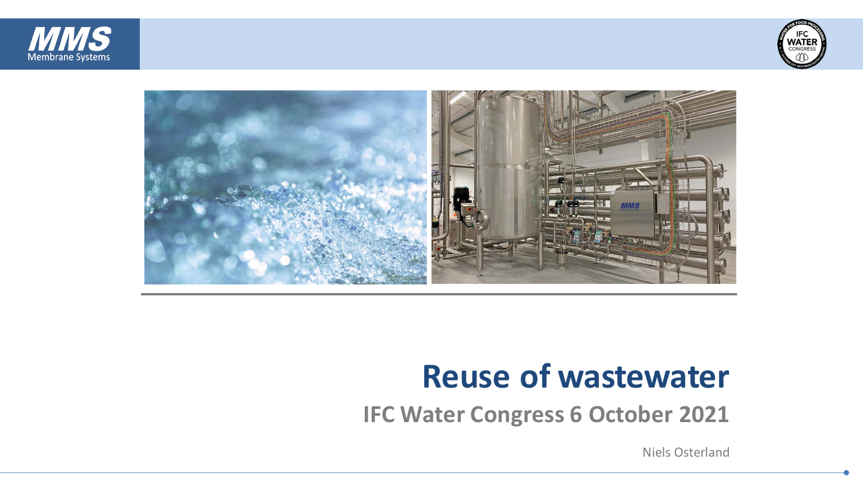





## **Reuse of wastewater**

**IFC Water Congress 6 October 2021**

Niels Osterland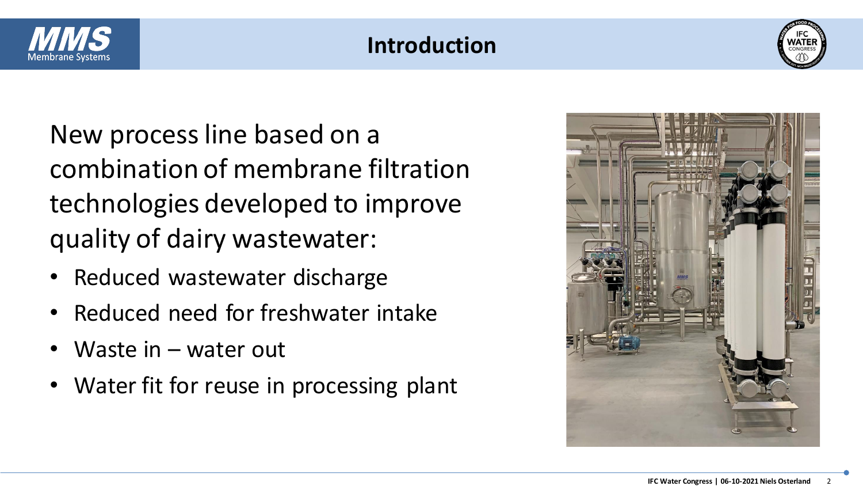

### **Introduction**



New process line based on a combination of membrane filtration technologies developed to improve quality of dairy wastewater:

- Reduced wastewater discharge
- Reduced need for freshwater intake
- Waste in  $-$  water out
- Water fit for reuse in processing plant

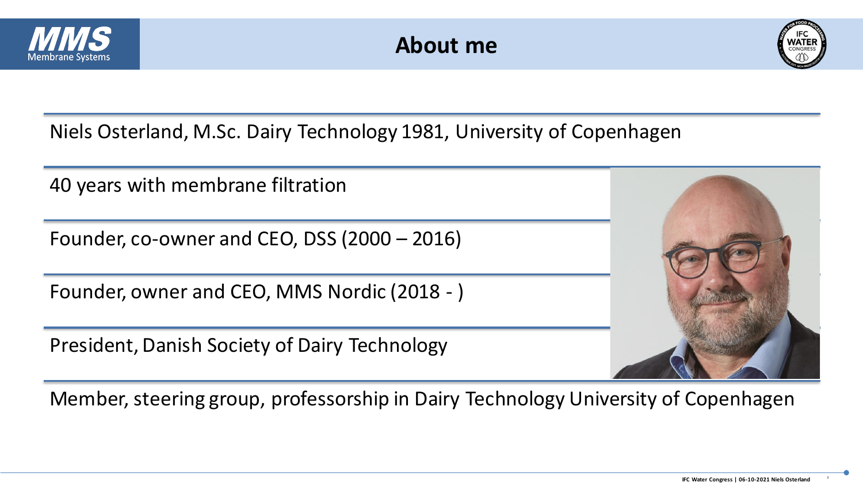

### **About me**



Niels Osterland, M.Sc. Dairy Technology 1981, University of Copenhagen

40 years with membrane filtration

Founder, co-owner and CEO, DSS (2000 – 2016)

Founder, owner and CEO, MMS Nordic (2018 - )

President, Danish Society of Dairy Technology



Member, steering group, professorship in Dairy Technology University of Copenhagen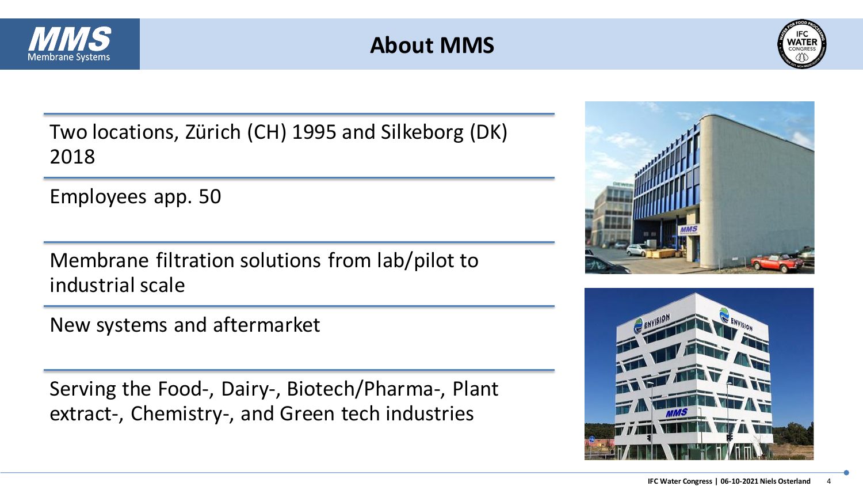

### **About MMS**



Two locations, Zürich (CH) 1995 and Silkeborg (DK) 2018

Employees app. 50

Membrane filtration solutions from lab/pilot to industrial scale

New systems and aftermarket

Serving the Food-, Dairy-, Biotech/Pharma-, Plant extract-, Chemistry-, and Green tech industries



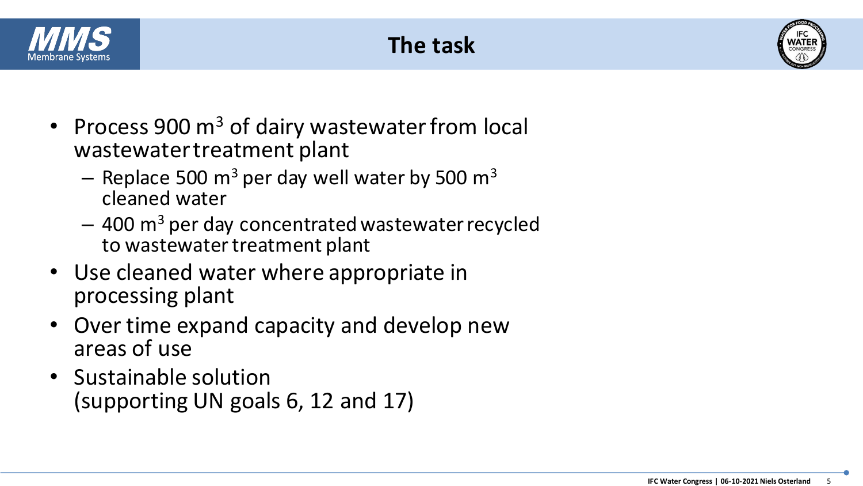





- Process 900  $m<sup>3</sup>$  of dairy wastewater from local wastewater treatment plant
	- Replace 500  $m^3$  per day well water by 500  $m^3$ cleaned water
	- $-$  400 m<sup>3</sup> per day concentrated wastewater recycled to wastewater treatment plant
- Use cleaned water where appropriate in processing plant
- Over time expand capacity and develop new areas of use
- Sustainable solution (supporting UN goals 6, 12 and 17)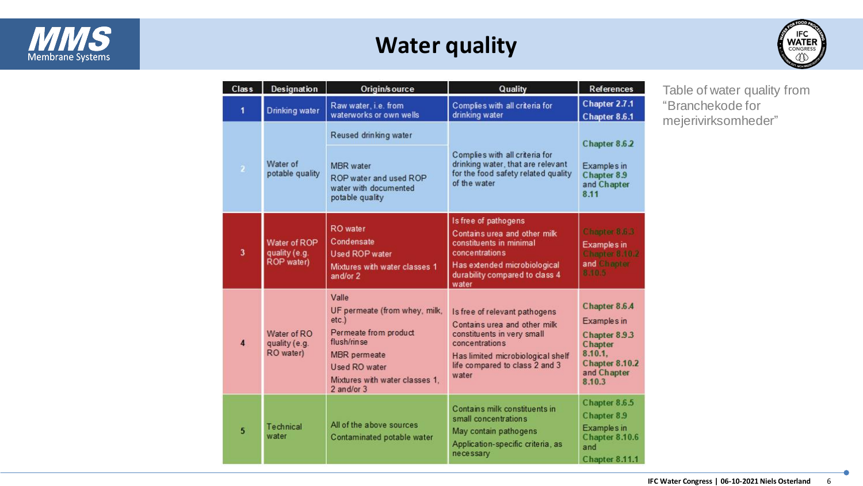

### **Water quality**



| Class                   | <b>Designation</b>                          | Origin/source                                                                                                                                                                  | Quality                                                                                                                                                                                       | <b>References</b>                                                                                                     |
|-------------------------|---------------------------------------------|--------------------------------------------------------------------------------------------------------------------------------------------------------------------------------|-----------------------------------------------------------------------------------------------------------------------------------------------------------------------------------------------|-----------------------------------------------------------------------------------------------------------------------|
| $\blacksquare$          | Drinking water                              | Raw water i.e. from<br>waterworks or own wells                                                                                                                                 | Complies with all criteria for<br>drinking water                                                                                                                                              | Chapter 2.7.1<br>Chapter 8.6.1                                                                                        |
| $\overline{a}$          | Water of<br>potable quality                 | Reused drinking water<br>MBR water<br>ROP water and used ROP<br>water with documented<br>potable quality                                                                       | Complies with all criteria for<br>drinking water, that are relevant<br>for the food safety related quality<br>of the water                                                                    | Chapter 8.6.2<br>Examples in<br>Chapter 8.9<br>and Chapter<br>8.11                                                    |
| $\overline{\mathbf{3}}$ | Water of ROP<br>quality (e.g.<br>ROP water) | <b>RO</b> water<br>Condensate<br>Used ROP water<br>Mixtures with water classes 1<br>and/or 2                                                                                   | Is free of pathogens<br>Contains urea and other milk<br>constituents in minimal<br><b>concentrations</b><br>Has extended microbiological<br>durability compared to class 4<br>water           | Chapter 8.6.3<br>Examples in<br><b>Chapter 8.10.2</b><br>and Chapter<br>8.10.5                                        |
| $\overline{4}$          | Water of RO<br>quality (e.g.<br>RO water)   | Valle<br>UF permeate (from whey, milk,<br>etc.<br>Permeate from product<br>flush/rinse<br><b>MBR</b> permeate<br>Used RO water<br>Mixtures with water classes 1.<br>2 and/or 3 | Is free of relevant pathogens<br>Contains urea and other milk<br>constituents in very small<br>concentrations<br>Has limited microbiological shelf<br>life compared to class 2 and 3<br>water | Chapter 8.6.4<br>Examples in<br>Chapter 8.9.3<br>Chapter<br>8.10.1,<br><b>Chapter 8.10.2</b><br>and Chapter<br>8.10.3 |
| $5\phantom{.0}$         | Technical<br>water                          | All of the above sources<br>Contaminated potable water                                                                                                                         | Contains milk constituents in<br>small concentrations<br>May contain pathogens<br>Application-specific criteria, as<br>necessary                                                              | Chapter 8.6.5<br>Chapter 8.9<br><b>Examples</b> in<br>Chapter 8.10.6<br>and<br>Chapter 8.11.1                         |

Table of water quality from "Branchekode for mejerivirksomheder"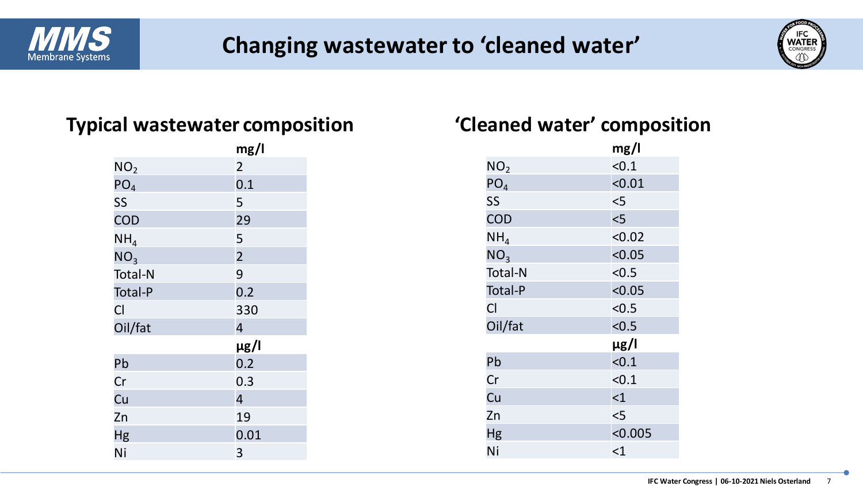

### **Changing wastewater to 'cleaned water'**



#### **Typical wastewater composition 'Cleaned water' composition**

|                 | mg/l           |
|-----------------|----------------|
| NO <sub>2</sub> | $\overline{2}$ |
| PO <sub>4</sub> | 0.1            |
| SS              | 5              |
| COD             | 29             |
| NH <sub>4</sub> | 5              |
| NO <sub>3</sub> | $\overline{2}$ |
| <b>Total-N</b>  | 9              |
| <b>Total-P</b>  | 0.2            |
| Cl              | 330            |
| Oil/fat         | $\overline{4}$ |
|                 | µg/l           |
| Pb              | 0.2            |
| Cr              | 0.3            |
| Cu              | $\overline{4}$ |
| Zn              | 19             |
| Hg              | 0.01           |
| Ni              | 3              |

|                 | mg/l      |
|-----------------|-----------|
| NO <sub>2</sub> | < 0.1     |
| PO <sub>4</sub> | < 0.01    |
| SS              | $<$ 5     |
| COD             | 5         |
| NH <sub>4</sub> | < 0.02    |
| NO <sub>3</sub> | < 0.05    |
| <b>Total-N</b>  | < 0.5     |
| <b>Total-P</b>  | < 0.05    |
| Cl              | < 0.5     |
| Oil/fat         | < 0.5     |
|                 | $\mu$ g/l |
| Pb              | < 0.1     |
| Cr              | < 0.1     |
| Cu              | $<$ 1     |
| Zn              | $<$ 5     |
| Hg              | < 0.005   |
| Ni              | $<$ 1     |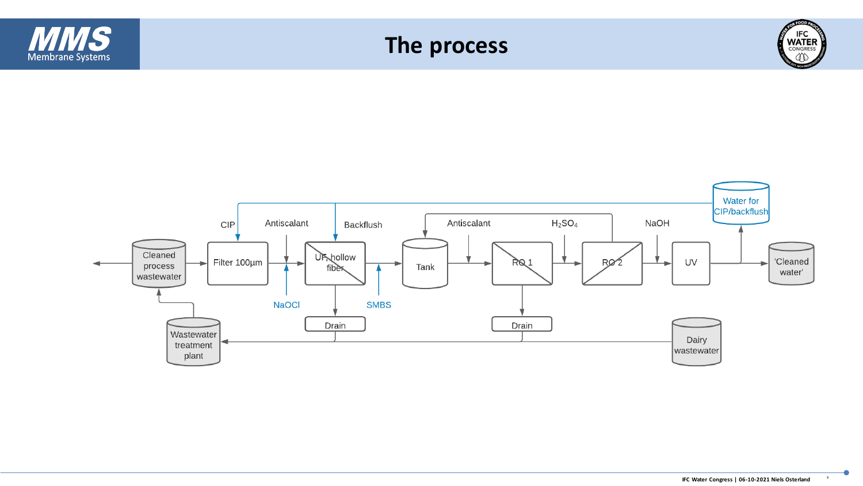

plant

wastewater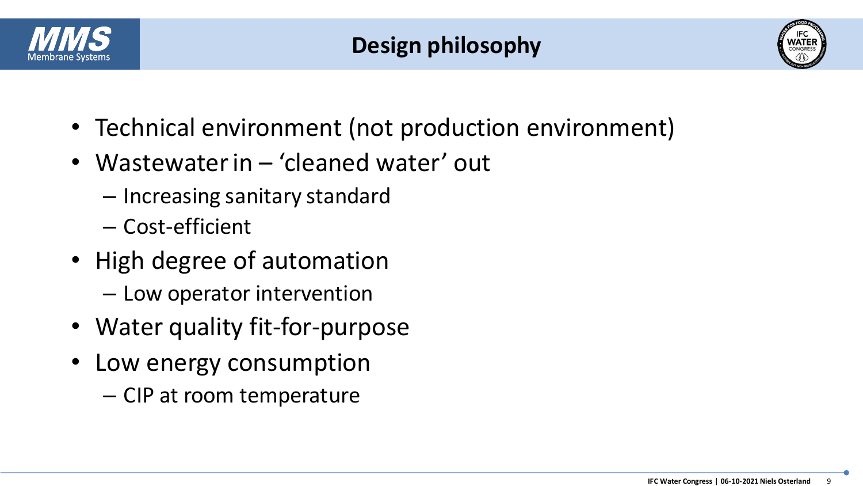

### **Design philosophy**



- Technical environment (not production environment)
- Wastewater in 'cleaned water' out
	- Increasing sanitary standard
	- Cost-efficient
- High degree of automation
	- Low operator intervention
- Water quality fit-for-purpose
- Low energy consumption
	- CIP at room temperature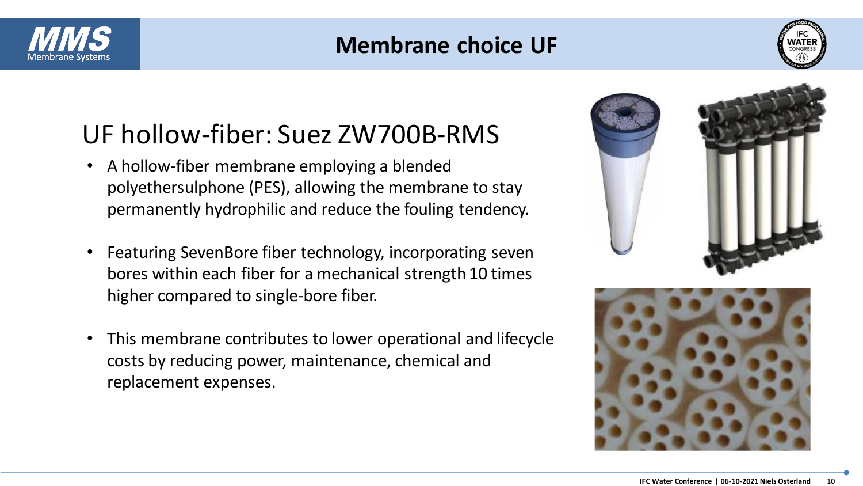

### **Membrane choice UF**



### UF hollow-fiber: Suez ZW700B-RMS

- A hollow-fiber membrane employing a blended polyethersulphone (PES), allowing the membrane to stay permanently hydrophilic and reduce the fouling tendency.
- Featuring SevenBore fiber technology, incorporating seven bores within each fiber for a mechanical strength 10 times higher compared to single-bore fiber.
- This membrane contributes to lower operational and lifecycle costs by reducing power, maintenance, chemical and replacement expenses.



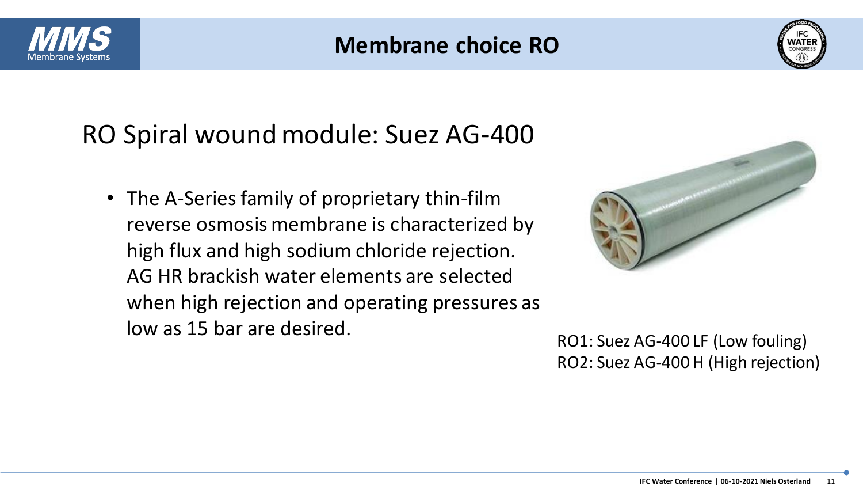

### **Membrane choice RO**



### RO Spiral wound module: Suez AG-400

• The A-Series family of proprietary thin-film reverse osmosis membrane is characterized by high flux and high sodium chloride rejection. AG HR brackish water elements are selected when high rejection and operating pressures as low as 15 bar are desired.<br>RO1: Suez AG-400 LF (Low fouling)



RO2: Suez AG-400 H (High rejection)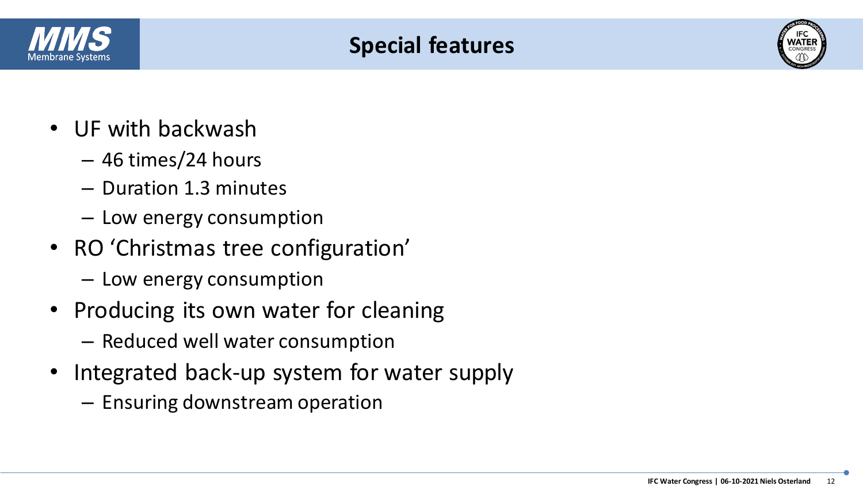

### **Special features**



- UF with backwash
	- 46 times/24 hours
	- Duration 1.3 minutes
	- Low energy consumption
- RO 'Christmas tree configuration'
	- Low energy consumption
- Producing its own water for cleaning
	- Reduced well water consumption
- Integrated back-up system for water supply
	- Ensuring downstream operation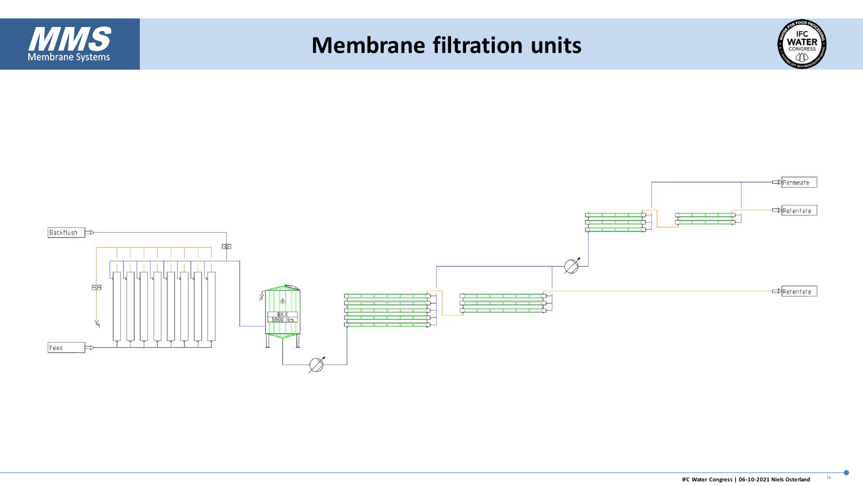

### **Membrane filtration units**



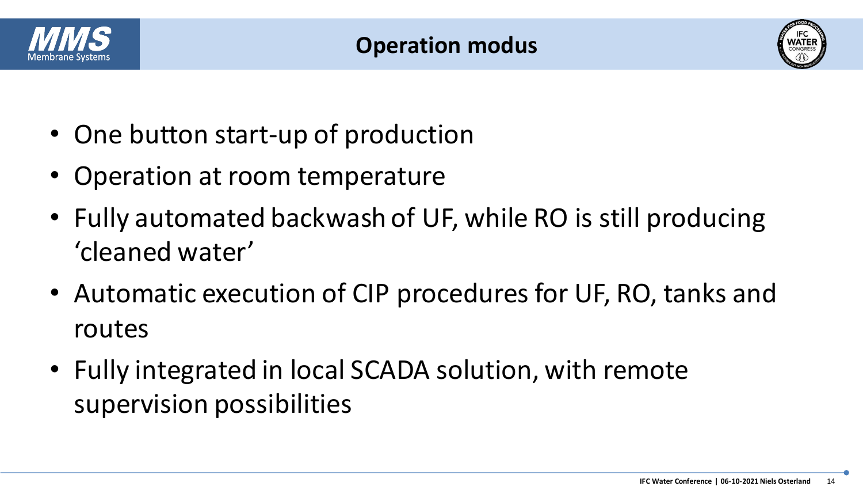



- One button start-up of production
- Operation at room temperature
- Fully automated backwash of UF, while RO is still producing 'cleaned water'
- Automatic execution of CIP procedures for UF, RO, tanks and routes
- Fully integrated in local SCADA solution, with remote supervision possibilities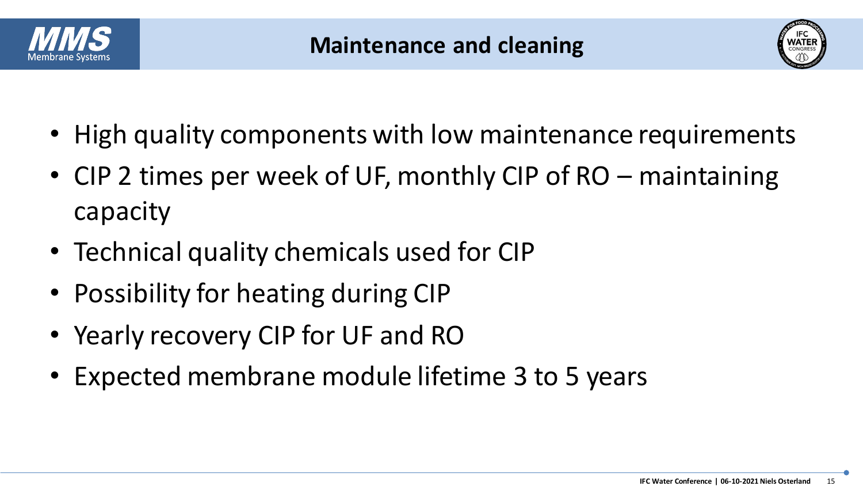



- High quality components with low maintenance requirements
- CIP 2 times per week of UF, monthly CIP of RO maintaining capacity
- Technical quality chemicals used for CIP
- Possibility for heating during CIP
- Yearly recovery CIP for UF and RO
- Expected membrane module lifetime 3 to 5 years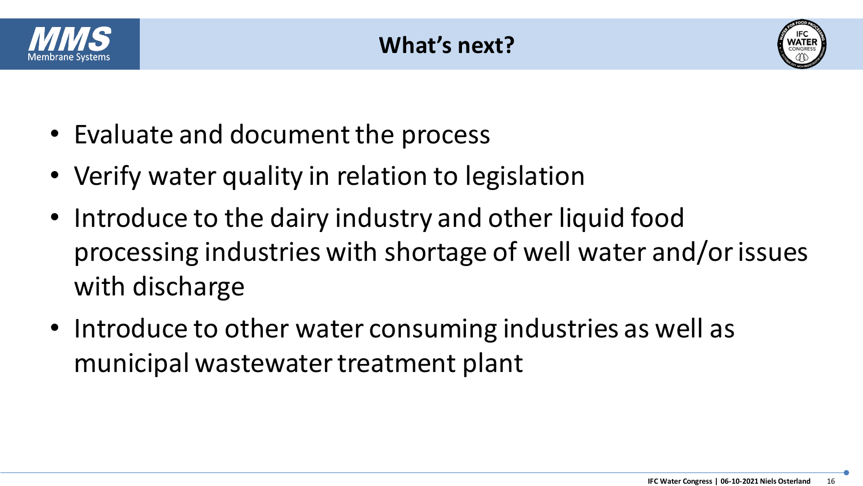



- Evaluate and document the process
- Verify water quality in relation to legislation
- Introduce to the dairy industry and other liquid food processing industries with shortage of well water and/or issues with discharge
- Introduce to other water consuming industries as well as municipal wastewater treatment plant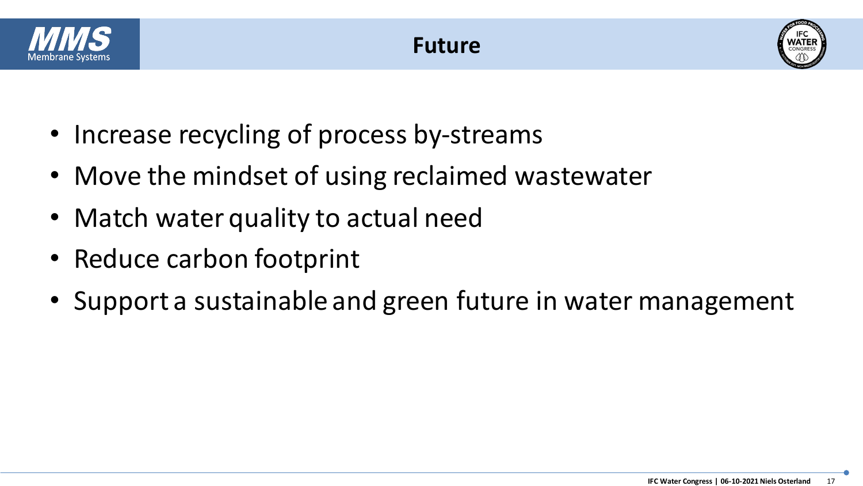





- Increase recycling of process by-streams
- Move the mindset of using reclaimed wastewater
- Match water quality to actual need
- Reduce carbon footprint
- Support a sustainable and green future in water management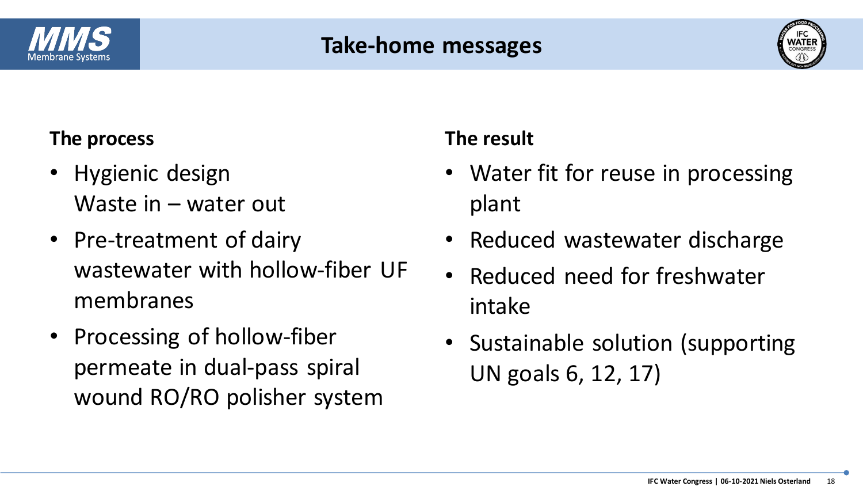

### **Take-home messages**



#### **The process**

- Hygienic design Waste in – water out
- Pre-treatment of dairy wastewater with hollow-fiber UF membranes
- Processing of hollow-fiber permeate in dual-pass spiral wound RO/RO polisher system

### **The result**

- Water fit for reuse in processing plant
- Reduced wastewater discharge
- Reduced need for freshwater intake
- Sustainable solution (supporting UN goals 6, 12, 17)